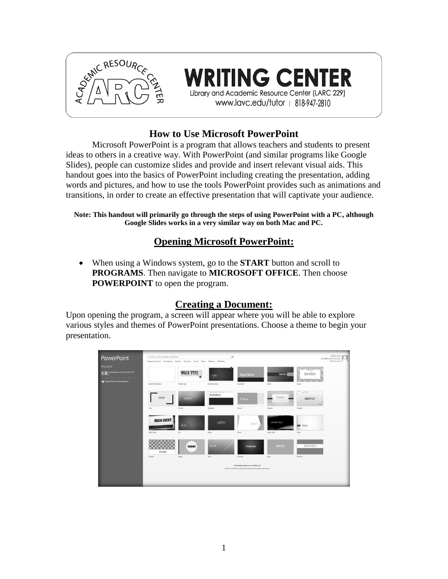

**TING CENTER** Library and Academic Resource Center (LARC 229) www.lavc.edu/tutor | 818-947-2810

# **How to Use Microsoft PowerPoint**

Microsoft PowerPoint is a program that allows teachers and students to present ideas to others in a creative way. With PowerPoint (and similar programs like Google Slides), people can customize slides and provide and insert relevant visual aids. This handout goes into the basics of PowerPoint including creating the presentation, adding words and pictures, and how to use the tools PowerPoint provides such as animations and transitions, in order to create an effective presentation that will captivate your audience.

**Note: This handout will primarily go through the steps of using PowerPoint with a PC, although Google Slides works in a very similar way on both Mac and PC.** 

### **Opening Microsoft PowerPoint:**

 When using a Windows system, go to the **START** button and scroll to **PROGRAMS**. Then navigate to **MICROSOFT OFFICE**. Then choose **POWERPOINT** to open the program.

# **Creating a Document:**

Upon opening the program, a screen will appear where you will be able to explore various styles and themes of PowerPoint presentations. Choose a theme to begin your presentation.

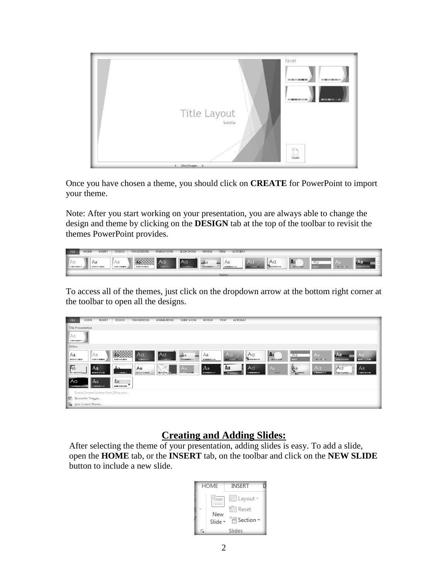

Once you have chosen a theme, you should click on **CREATE** for PowerPoint to import your theme.

Note: After you start working on your presentation, you are always able to change the design and theme by clicking on the **DESIGN** tab at the top of the toolbar to revisit the themes PowerPoint provides.

| FILE                                 | <b>HOME</b> | <b>INSERT</b> | DESIGN | <b>TRANSITIONS</b> | <b>ANIMATIONS</b> | <b>SLIDE SHOW</b> | <b>REVIEW</b> | <b>ACROBAT</b><br>VIEW |    |    |                |                     |      |  |
|--------------------------------------|-------------|---------------|--------|--------------------|-------------------|-------------------|---------------|------------------------|----|----|----------------|---------------------|------|--|
| $\parallel$ A<br><b>BUILDED BASE</b> | Aa          |               | Aa     |                    | AC.               | <b>A</b> a        |               | Aa<br>1999 909 223     | Aa | Aa | A <sub>a</sub> | $A$ c<br>1,850  999 | $-1$ |  |

To access all of the themes, just click on the dropdown arrow at the bottom right corner at the toolbar to open all the designs.

| <b>FILE</b>                           | HOME                                   | INSERT              | DESIGN                                 | <b>TRANSITIONS</b>                | ANIMATIONS              | SLIDE SHOW                   | <b>REVIEW</b>                     | ACROBAT<br>VIEW        |                    |                         |                      |                          |                                                     |                                      |
|---------------------------------------|----------------------------------------|---------------------|----------------------------------------|-----------------------------------|-------------------------|------------------------------|-----------------------------------|------------------------|--------------------|-------------------------|----------------------|--------------------------|-----------------------------------------------------|--------------------------------------|
|                                       | <b>This Presentation</b>               |                     |                                        |                                   |                         |                              |                                   |                        |                    |                         |                      |                          |                                                     |                                      |
| Aa                                    |                                        |                     |                                        |                                   |                         |                              |                                   |                        |                    |                         |                      |                          |                                                     |                                      |
| <b><i>STRESS MARKET</i></b>           |                                        |                     |                                        |                                   |                         |                              |                                   |                        |                    |                         |                      |                          |                                                     |                                      |
| Office                                |                                        |                     |                                        |                                   |                         |                              |                                   |                        |                    |                         |                      |                          |                                                     |                                      |
| Aa<br><b><i>BEREZO DE BERO</i></b>    | ll Aa                                  | 2010/01/01 03:00:00 | X<br>Ag<br><b>CONTRACTOR</b>           | Aa<br><b>STERN OF CALL</b>        | Aa<br><b>CONTRACTOR</b> | $A_3$<br><b>STERN BERGEN</b> | Aa<br><b><i>DESIGNATION</i></b>   | l Aa                   | Aa<br><b>Bonne</b> | Aa<br><b>BELLEVILLE</b> | Aa<br>--             | Aa                       | Aa<br><b>BOTTOM FOR SHE WAS TOO!</b>                | A <sub>q</sub><br><b>DISTURBANCE</b> |
| Aa<br><b>BUT IT WERE SERVED</b>       | Aa                                     | -------             | $\Delta$ a<br><b>CONTRACTOR</b>        | Aa<br><b>BALLAS DE DE BOLGARI</b> | <b>JEHOVE</b>           | Aa                           | l Aa<br><b>BURNING OF THE ANN</b> | Aa<br><b>CONSUMING</b> | Aa<br>------       | Aa<br><b>SILENEON</b>   | (Aa<br><b>Change</b> | Aa<br><b>The Seconds</b> | A <sub>a</sub><br><b><i><u>Universitive</u></i></b> | Aa<br>100101-012                     |
| Aa<br><b><i><u>STATISTICS</u></i></b> | Aa                                     | ------              | <b>A</b> a<br>00000000                 |                                   |                         |                              |                                   |                        |                    |                         |                      |                          |                                                     |                                      |
|                                       |                                        |                     | Enable Content Updates from Office.com |                                   |                         |                              |                                   |                        |                    |                         |                      |                          |                                                     |                                      |
|                                       | $\sqrt{\frac{m}{n}}$ Browse for Themes |                     |                                        |                                   |                         |                              |                                   |                        |                    |                         |                      |                          |                                                     |                                      |
|                                       | Save Current Theme                     |                     |                                        |                                   |                         |                              |                                   |                        |                    |                         |                      |                          |                                                     |                                      |

# **Creating and Adding Slides:**

After selecting the theme of your presentation, adding slides is easy. To add a slide, open the **HOME** tab, or the **INSERT** tab, on the toolbar and click on the **NEW SLIDE** button to include a new slide.

| HOME                | <b>INSERT</b>                                                                |  |
|---------------------|------------------------------------------------------------------------------|--|
| New<br>Slide -<br>Б | $\equiv$ Layout $\sim$<br><b>Reset</b><br>$*$ $\equiv$ Section $*$<br>Slides |  |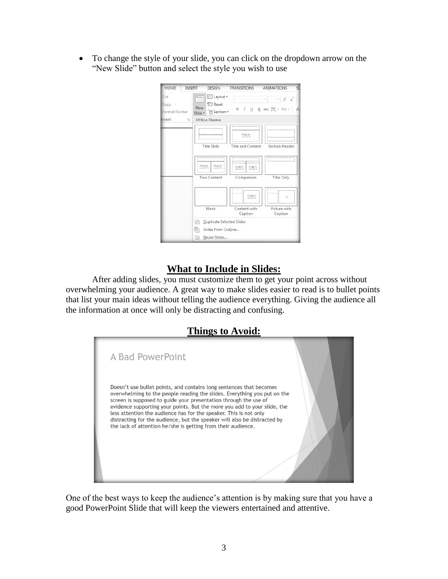To change the style of your slide, you can click on the dropdown arrow on the "New Slide" button and select the style you wish to use

| <b>HOME</b><br><b>INSERT</b>    | DESIGN                                                                 | <b>TRANSITIONS</b>          | SL<br>ANIMATIONS                                               |
|---------------------------------|------------------------------------------------------------------------|-----------------------------|----------------------------------------------------------------|
| Cut<br>Copy +<br>Format Painter | E Layout -<br><b>Reset</b><br>New<br><sup>*</sup> Section ▼<br>Slide - |                             | $A^*$ $A^*$<br>$B$ $I$ $U$ $S$ abc $AV - Aa$<br>$\overline{A}$ |
| board<br>Гy                     | <b>Office Theme</b>                                                    |                             |                                                                |
|                                 |                                                                        | ,,,,,,,,,,,,,,,,,,,,,<br>95 |                                                                |
|                                 | Title Slide                                                            | Title and Content           | Section Header                                                 |
|                                 | ---------------------<br>,,,,,,,,,,,,,,,,,,,,,,,,,,<br>745<br>745      | That Ph<br>all 20           |                                                                |
|                                 | Two Content                                                            | Comparison                  | Title Only                                                     |
|                                 |                                                                        | Desi                        | 區                                                              |
|                                 | Blank                                                                  | Content with<br>Caption     | Picture with<br>Caption                                        |
|                                 | 治<br>Duplicate Selected Slides                                         |                             |                                                                |
|                                 | Þ<br>Slides from Outline                                               |                             |                                                                |
|                                 | 洎<br>Reuse Slides                                                      |                             |                                                                |

# **What to Include in Slides:**

After adding slides, you must customize them to get your point across without overwhelming your audience. A great way to make slides easier to read is to bullet points that list your main ideas without telling the audience everything. Giving the audience all the information at once will only be distracting and confusing.

# **Things to Avoid:**



One of the best ways to keep the audience's attention is by making sure that you have a good PowerPoint Slide that will keep the viewers entertained and attentive.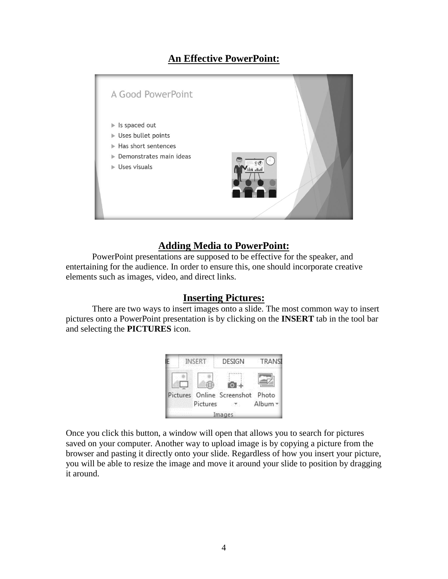# **An Effective PowerPoint:**



### **Adding Media to PowerPoint:**

PowerPoint presentations are supposed to be effective for the speaker, and entertaining for the audience. In order to ensure this, one should incorporate creative elements such as images, video, and direct links.

### **Inserting Pictures:**

There are two ways to insert images onto a slide. The most common way to insert pictures onto a PowerPoint presentation is by clicking on the **INSERT** tab in the tool bar and selecting the **PICTURES** icon.



Once you click this button, a window will open that allows you to search for pictures saved on your computer. Another way to upload image is by copying a picture from the browser and pasting it directly onto your slide. Regardless of how you insert your picture, you will be able to resize the image and move it around your slide to position by dragging it around.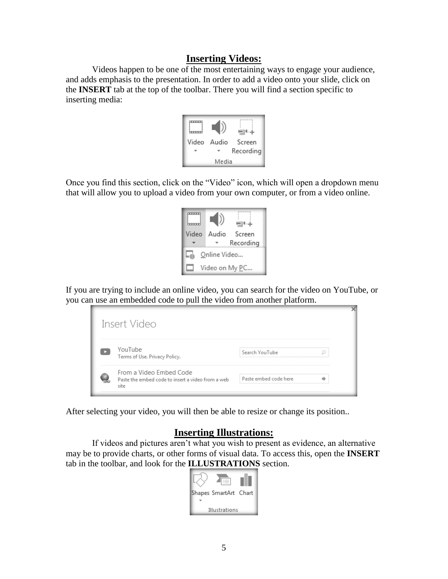### **Inserting Videos:**

Videos happen to be one of the most entertaining ways to engage your audience, and adds emphasis to the presentation. In order to add a video onto your slide, click on the **INSERT** tab at the top of the toolbar. There you will find a section specific to inserting media:



Once you find this section, click on the "Video" icon, which will open a dropdown menu that will allow you to upload a video from your own computer, or from a video online.

| Video                  | Audio | Screen<br>Recording |  |  |  |  |  |  |  |
|------------------------|-------|---------------------|--|--|--|--|--|--|--|
| Online Video           |       |                     |  |  |  |  |  |  |  |
| Video on My <u>P</u> C |       |                     |  |  |  |  |  |  |  |

If you are trying to include an online video, you can search for the video on YouTube, or you can use an embedded code to pull the video from another platform.



After selecting your video, you will then be able to resize or change its position..

### **Inserting Illustrations:**

If videos and pictures aren't what you wish to present as evidence, an alternative may be to provide charts, or other forms of visual data. To access this, open the **INSERT** tab in the toolbar, and look for the **ILLUSTRATIONS** section.

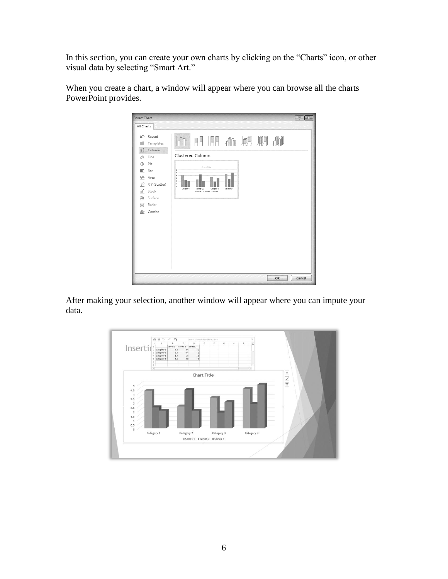In this section, you can create your own charts by clicking on the "Charts" icon, or other visual data by selecting "Smart Art."



When you create a chart, a window will appear where you can browse all the charts PowerPoint provides.

After making your selection, another window will appear where you can impute your data.

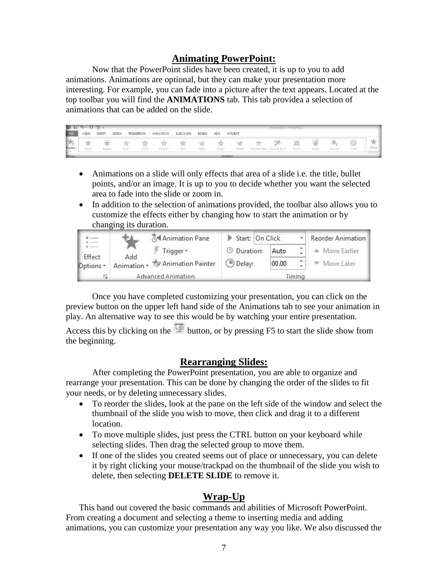### **Animating PowerPoint:**

Now that the PowerPoint slides have been created, it is up to you to add animations. Animations are optional, but they can make your presentation more interesting. For example, you can fade into a picture after the text appears. Located at the top toolbar you will find the **ANIMATIONS** tab. This tab providea a selection of animations that can be added on the slide.

| P3 H            | $5 - 0 = 5$ |        |        |                    |            |            |               |       |                                                                            |   | Presentation1 - PowerPoint-<br>1.5 km/s metal and an energy (1) 2012 12:00 PM 12:00 PM |      |             |        |       |                     |
|-----------------|-------------|--------|--------|--------------------|------------|------------|---------------|-------|----------------------------------------------------------------------------|---|----------------------------------------------------------------------------------------|------|-------------|--------|-------|---------------------|
| <b>FILE</b>     | HOME        | INSERT | DESIGN | <b>TRANSITIONS</b> | ANIMATIONS | SLIDE SHOW | <b>REVIEW</b> | VIEW  | <b>ACROBAT</b>                                                             |   |                                                                                        |      |             |        |       |                     |
| Preview         | None        | Appear |        | Fade<br>Fly In     | Float In   | Split      | Wipe          | Shape | Wheel                                                                      | 芸 | Random Bars Grow & Turn                                                                | Zoom | .<br>Swivel | Bounce | Pulse | Effect<br>Options * |
| <b>REGISTER</b> |             |        |        |                    |            |            |               |       | Control of the Control of the Control of the Control of the Control of the |   |                                                                                        |      |             |        |       |                     |

- Animations on a slide will only effects that area of a slide i.e. the title, bullet points, and/or an image. It is up to you to decide whether you want the selected area to fade into the slide or zoom in.
- In addition to the selection of animations provided, the toolbar also allows you to customize the effects either by changing how to start the animation or by changing its duration.

|                     |     | Animation Pane                   | Start: On Click           |                          |  | Reorder Animation |  |
|---------------------|-----|----------------------------------|---------------------------|--------------------------|--|-------------------|--|
|                     |     | Trigger $\tau$                   | <b><i>O</i></b> Duration: | ×.<br>Auto<br>×<br>00.00 |  | Move Earlier      |  |
| Effect<br>Options * | Add | Animation v To Animation Painter | <b>Delay:</b>             |                          |  | Move Later        |  |
|                     |     | Advanced Animation               | imina                     |                          |  |                   |  |

Once you have completed customizing your presentation, you can click on the preview button on the upper left hand side of the Animations tab to see your animation in play. An alternative way to see this would be by watching your entire presentation.

Access this by clicking on the  $\overline{\mathbb{Q}}$  button, or by pressing F5 to start the slide show from the beginning.

### **Rearranging Slides:**

After completing the PowerPoint presentation, you are able to organize and rearrange your presentation. This can be done by changing the order of the slides to fit your needs, or by deleting unnecessary slides.

- To reorder the slides, look at the pane on the left side of the window and select the thumbnail of the slide you wish to move, then click and drag it to a different location.
- To move multiple slides, just press the CTRL button on your keyboard while selecting slides. Then drag the selected group to move them.
- If one of the slides you created seems out of place or unnecessary, you can delete it by right clicking your mouse/trackpad on the thumbnail of the slide you wish to delete, then selecting **DELETE SLIDE** to remove it.

# **Wrap-Up**

This hand out covered the basic commands and abilities of Microsoft PowerPoint. From creating a document and selecting a theme to inserting media and adding animations, you can customize your presentation any way you like. We also discussed the